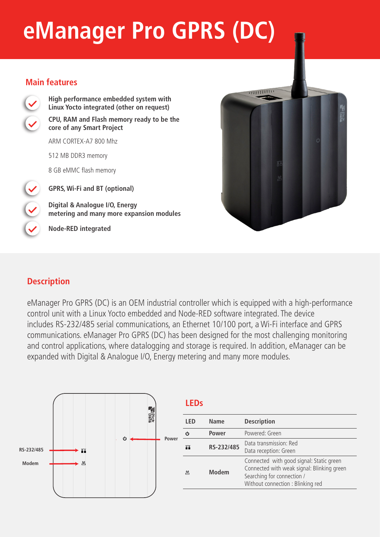# **eManager Pro GPRS (DC)**

#### **Main features**



**High performance embedded system with Linux Yocto integrated (other on request) CPU, RAM and Flash memory ready to be the core of any Smart Project** 

ARM CORTEX-A7 800 Mhz

512 MB DDR3 memory

8 GB eMMC flash memory

**GPRS, Wi-Fi and BT (optional)**

**Digital & Analogue I/O, Energy metering and many more expansion modules**

**Node-RED integrated**



## **Description**

eManager Pro GPRS (DC) is an OEM industrial controller which is equipped with a high-performance control unit with a Linux Yocto embedded and Node-RED software integrated. The device includes RS-232/485 serial communications, an Ethernet 10/100 port, a Wi-Fi interface and GPRS communications. eManager Pro GPRS (DC) has been designed for the most challenging monitoring and control applications, where datalogging and storage is required. In addition, eManager can be expanded with Digital & Analogue I/O, Energy metering and many more modules.



| I FD | <b>Name</b>  | <b>Description</b>                                                                                                                                        |  |
|------|--------------|-----------------------------------------------------------------------------------------------------------------------------------------------------------|--|
| ረካ   | Power        | Powered: Green                                                                                                                                            |  |
| ш    | RS-232/485   | Data transmission: Red<br>Data reception: Green                                                                                                           |  |
| 凹    | <b>Modem</b> | Connected with good signal: Static green<br>Connected with weak signal: Blinking green<br>Searching for connection /<br>Without connection : Blinking red |  |
|      |              |                                                                                                                                                           |  |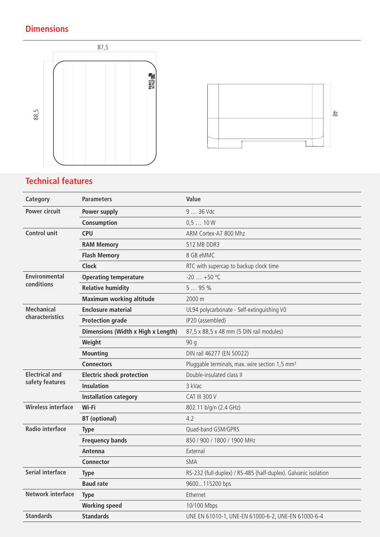# **Dimensions**





# **Technical features**

| Category                  | <b>Parameters</b>                         | Value                                                           |
|---------------------------|-------------------------------------------|-----------------------------------------------------------------|
| <b>Power circuit</b>      | Power supply                              | 9  36 Vdc                                                       |
|                           | Consumption                               | 0,510W                                                          |
| <b>Control unit</b>       | <b>CPU</b>                                | ARM Cortex-A7 800 Mhz                                           |
|                           | <b>RAM Memory</b>                         | 512 MB DDR3                                                     |
|                           | <b>Flash Memory</b>                       | 8 GB eMMC                                                       |
|                           | <b>Clock</b>                              | RTC with supercap to backup clock time                          |
| <b>Environmental</b>      | <b>Operating temperature</b>              | $-20+50$ °C                                                     |
| conditions                | <b>Relative humidity</b>                  | 595%                                                            |
|                           | <b>Maximum working altitude</b>           | 2000 m                                                          |
| <b>Mechanical</b>         | <b>Enclosure material</b>                 | UL94 polycarbonate - Self-extinguishing V0                      |
| characteristics           | <b>Protection grade</b>                   | IP20 (assembled)                                                |
|                           | <b>Dimensions (Width x High x Length)</b> | 87,5 x 88,5 x 48 mm (5 DIN rail modules)                        |
|                           | Weight                                    | 90q                                                             |
|                           | <b>Mounting</b>                           | DIN rail 46277 (EN 50022)                                       |
|                           | <b>Connectors</b>                         | Pluggable terminals, max. wire section 1,5 mm <sup>2</sup>      |
| <b>Electrical and</b>     | <b>Electric shock protection</b>          | Double-insulated class II                                       |
| safety features           | <b>Insulation</b>                         | 3 kVac                                                          |
|                           | <b>Installation category</b>              | <b>CAT III 300 V</b>                                            |
| <b>Wireless interface</b> | Wi-Fi                                     | 802.11 b/g/n (2.4 GHz)                                          |
|                           | <b>BT</b> (optional)                      | 4.2                                                             |
| <b>Radio interface</b>    | <b>Type</b>                               | Quad-band GSM/GPRS                                              |
|                           | <b>Frequency bands</b>                    | 850 / 900 / 1800 / 1900 MHz                                     |
|                           | Antenna                                   | External                                                        |
|                           | Connector                                 | <b>SMA</b>                                                      |
| <b>Serial interface</b>   | <b>Type</b>                               | RS-232 (full-duplex) / RS-485 (half-duplex). Galvanic isolation |
|                           | <b>Baud rate</b>                          | 9600115200 bps                                                  |
| <b>Network interface</b>  | <b>Type</b>                               | Ethernet                                                        |
|                           | <b>Working speed</b>                      | 10/100 Mbps                                                     |
| <b>Standards</b>          | <b>Standards</b>                          | UNE EN 61010-1, UNE-EN 61000-6-2, UNE-EN 61000-6-4              |